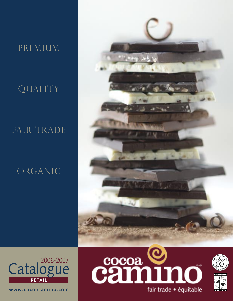# premium

# QUALITY

# FAIR TRADE

# ORGANIC



2006-2007 **RETAIL Catalogue** 

**www.cocoacamino.com**





fair trade · équitable

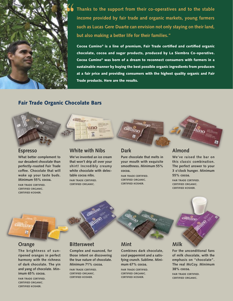

**Thanks to the support from their co-operatives and to the stable income provided by fair trade and organic markets, young farmers such as Lucas Gere Duarte can envision not only staying on their land, but also making a better life for their families."**

Cocoa Camino® is a line of premium, Fair Trade certified and certified organic chocolate, cocoa and sugar products, produced by La Siembra Co-operative. Cocoa Camino® was born of a dream to reconnect consumers with farmers in a sustainable manner by buying the best possible organic ingredients from producers at a fair price and providing consumers with the highest quality organic and Fair Trade products. Here are the results.

#### Fair Trade Organic Chocolate Bars

#### **Espresso**

**What better complement to our decadent chocolate than perfectly-roasted Fair Trade coffee. Chocolate that will wake up your taste buds. Minimum 55% cocoa.**

**FAIR TRADE CERTIFIED. CERTIFIED ORGANIC. CERTIFIED KOSHER.**

#### **White with Nibs**

uno

chinn

**We've invented an ice cream that won't drip all over your shirt! Incredibly creamy white chocolate with delectable cocoa nibs. FAIR TRADE CERTIFIED. CERTIFIED ORGANIC.**

#### **Dark**

**Pure chocolate that melts in your mouth with exquisite smoothness. Minimum 55% cocoa.**

mino

**FAIR TRADE CERTIFIED. CERTIFIED ORGANIC. CERTIFIED KOSHER.**

#### **Almond**

**We've raised the bar on this classic combination. The perfect answer to your 3 o'clock hunger. Minimum 55% cocoa.**

**FAIR TRADE CERTIFIED. CERTIFIED ORGANIC. CERTIFIED KOSHER.**



#### **Orange**

camine

**The brightness of sunripened oranges in perfect harmony with the richness of dark chocolate. The yin and yang of chocolate. Minimum 65% cocoa.**

**FAIR TRADE CERTIFIED. CERTIFIED ORGANIC. CERTIFIED KOSHER.**

#### **Bittersweet**

**Complex and nuanced, for those intent on discovering the true nature of chocolate. Minimum 71% cocoa. FAIR TRADE CERTIFIED. CERTIFIED ORGANIC. CERTIFIED KOSHER.**

## **Mint**

**Combines dark chocolate, cool peppermint and a satisfying crunch. Sublime. Minimum 67% cocoa. FAIR TRADE CERTIFIED. CERTIFIED ORGANIC. CERTIFIED KOSHER.**

camino

# **Milk**

**For the unconditional fans of milk chocolate, with the emphasis on "chocolate". The real McCoy. Minimum 38% cocoa. FAIR TRADE CERTIFIED. CERTIFIED ORGANIC.**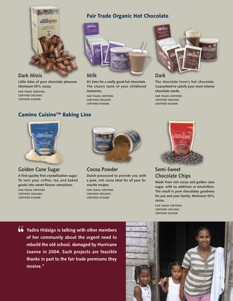

## **Dark Minis**

**Little bites of pure chocolate pleasure. Minimum 55% cocoa.**

**FAIR TRADE CERTIFIED. CERTIFIED ORGANIC. CERTIFIED KOSHER.**



Fair Trade Organic Hot Chocolate

## **Milk**

**It's time for a really good hot chocolate. The classic taste of your childhood memories.**

**FAIR TRADE CERTIFIED. CERTIFIED ORGANIC. CERTIFIED KOSHER.**



## **Dark**

**The chocolate lover's hot chocolate. Guaranteed to satisfy your most intense chocolate needs.**

**FAIR TRADE CERTIFIED. CERTIFIED ORGANIC. CERTIFIED KOSHER.**

# Camino Cuisine™ Baking Line



## **Golden Cane Sugar**

**A first-quality first-crystallization sugar. To turn your coffee, tea and baked goods into sweet flavour sensations. FAIR TRADE CERTIFIED. CERTIFIED ORGANIC. CERTIFIED KOSHER.**



**Cocoa Powder**

**Dutch-processed to provide you with a pure, rich cocoa ideal for all your favourite recipes.**

**FAIR TRADE CERTIFIED. CERTIFIED ORGANIC. CERTIFIED KOSHER.**



**Semi-Sweet Chocolate Chips**

**Made from rich cocoa and golden cane sugar, with no additives or emulsifiers. The result is pure chocolatey goodness for you and your family. Minimum 50% cocoa.**

**FAIR TRADE CERTIFIED. CERTIFIED ORGANIC. CERTIFIED KOSHER.**

**Yadira Hidalgo is talking with other members of her community about the urgent need to rebuild the old school, damaged by Hurricane Jeanne in 2004. Such projects are feasible thanks in part to the fair trade premiums they receive."**